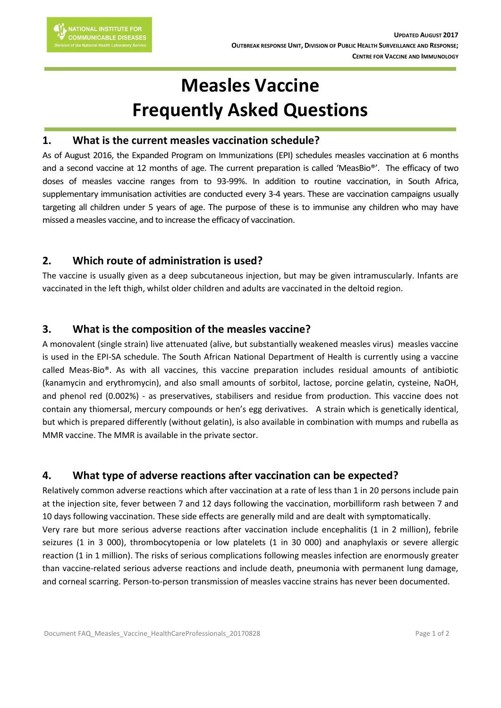# **Measles Vaccine Frequently Asked Questions**

#### **1. What is the current measles vaccination schedule?**

As of August 2016, the Expanded Program on Immunizations (EPI) schedules measles vaccination at 6 months and a second vaccine at 12 months of age. The current preparation is called 'MeasBio®'. The efficacy of two doses of measles vaccine ranges from to 93-99%. In addition to routine vaccination, in South Africa, supplementary immunisation activities are conducted every 3-4 years. These are vaccination campaigns usually targeting all children under 5 years of age. The purpose of these is to immunise any children who may have missed a measles vaccine, and to increase the efficacy of vaccination.

## **2. Which route of administration is used?**

The vaccine is usually given as a deep subcutaneous injection, but may be given intramuscularly. Infants are vaccinated in the left thigh, whilst older children and adults are vaccinated in the deltoid region.

## **3. What is the composition of the measles vaccine?**

A monovalent (single strain) live attenuated (alive, but substantially weakened measles virus) measles vaccine is used in the EPI-SA schedule. The South African National Department of Health is currently using a vaccine called Meas-Bio®. As with all vaccines, this vaccine preparation includes residual amounts of antibiotic (kanamycin and erythromycin), and also small amounts of sorbitol, lactose, porcine gelatin, cysteine, NaOH, and phenol red (0.002%) - as preservatives, stabilisers and residue from production. This vaccine does not contain any thiomersal, mercury compounds or hen's egg derivatives. A strain which is genetically identical, but which is prepared differently (without gelatin), is also available in combination with mumps and rubella as MMR vaccine. The MMR is available in the private sector.

## **4. What type of adverse reactions after vaccination can be expected?**

Relatively common adverse reactions which after vaccination at a rate of less than 1 in 20 persons include pain at the injection site, fever between 7 and 12 days following the vaccination, morbilliform rash between 7 and 10 days following vaccination. These side effects are generally mild and are dealt with symptomatically. Very rare but more serious adverse reactions after vaccination include encephalitis (1 in 2 million), febrile seizures (1 in 3 000), thrombocytopenia or low platelets (1 in 30 000) and anaphylaxis or severe allergic reaction (1 in 1 million). The risks of serious complications following measles infection are enormously greater than vaccine-related serious adverse reactions and include death, pneumonia with permanent lung damage, and corneal scarring. Person-to-person transmission of measles vaccine strains has never been documented.